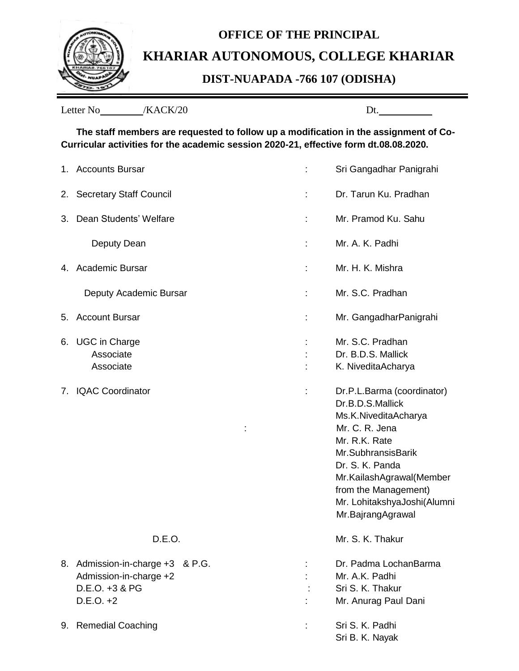

## **OFFICE OF THE PRINCIPAL KHARIAR AUTONOMOUS, COLLEGE KHARIAR**

## **DIST-NUAPADA -766 107 (ODISHA)**

| /KACK/20<br>Letter No | Dt. |
|-----------------------|-----|
|-----------------------|-----|

**The staff members are requested to follow up a modification in the assignment of Co-Curricular activities for the academic session 2020-21, effective form dt.08.08.2020.**

|    | 1. Accounts Bursar                                                                          |   | Sri Gangadhar Panigrahi                                                                                                                                                                                                                                    |
|----|---------------------------------------------------------------------------------------------|---|------------------------------------------------------------------------------------------------------------------------------------------------------------------------------------------------------------------------------------------------------------|
|    | 2. Secretary Staff Council                                                                  |   | Dr. Tarun Ku. Pradhan                                                                                                                                                                                                                                      |
| 3. | Dean Students' Welfare                                                                      |   | Mr. Pramod Ku. Sahu                                                                                                                                                                                                                                        |
|    | Deputy Dean                                                                                 | t | Mr. A. K. Padhi                                                                                                                                                                                                                                            |
|    | 4. Academic Bursar                                                                          | t | Mr. H. K. Mishra                                                                                                                                                                                                                                           |
|    | Deputy Academic Bursar                                                                      |   | Mr. S.C. Pradhan                                                                                                                                                                                                                                           |
| 5. | <b>Account Bursar</b>                                                                       |   | Mr. GangadharPanigrahi                                                                                                                                                                                                                                     |
| 6. | <b>UGC in Charge</b><br>Associate<br>Associate                                              |   | Mr. S.C. Pradhan<br>Dr. B.D.S. Mallick<br>K. NiveditaAcharya                                                                                                                                                                                               |
| 7. | <b>IQAC Coordinator</b>                                                                     | t | Dr.P.L.Barma (coordinator)<br>Dr.B.D.S.Mallick<br>Ms.K.NiveditaAcharya<br>Mr. C. R. Jena<br>Mr. R.K. Rate<br>Mr.SubhransisBarik<br>Dr. S. K. Panda<br>Mr.KailashAgrawal(Member<br>from the Management)<br>Mr. LohitakshyaJoshi(Alumni<br>Mr.BajrangAgrawal |
|    | D.E.O.                                                                                      |   | Mr. S. K. Thakur                                                                                                                                                                                                                                           |
|    | 8. Admission-in-charge +3 & P.G.<br>Admission-in-charge +2<br>D.E.O. +3 & PG<br>$D.E.O. +2$ |   | Dr. Padma LochanBarma<br>Mr. A.K. Padhi<br>Sri S. K. Thakur<br>Mr. Anurag Paul Dani                                                                                                                                                                        |
|    | 9. Remedial Coaching                                                                        |   | Sri S. K. Padhi<br>Sri B. K. Nayak                                                                                                                                                                                                                         |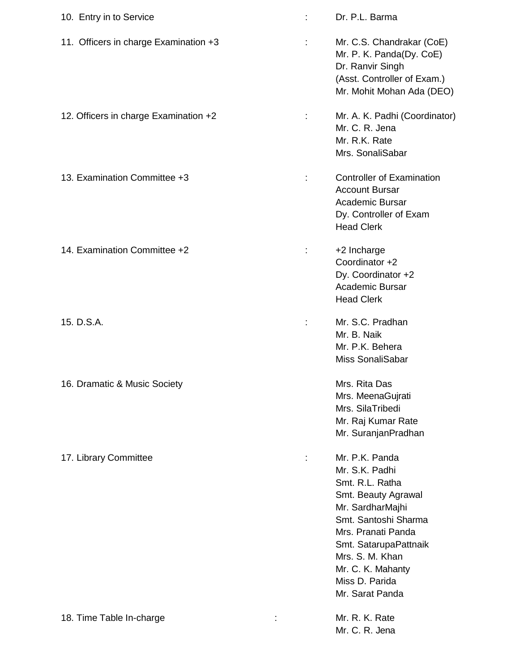| 10. Entry in to Service               |   | Dr. P.L. Barma                                                                                                                                                                                                                                     |
|---------------------------------------|---|----------------------------------------------------------------------------------------------------------------------------------------------------------------------------------------------------------------------------------------------------|
| 11. Officers in charge Examination +3 | ÷ | Mr. C.S. Chandrakar (CoE)<br>Mr. P. K. Panda(Dy. CoE)<br>Dr. Ranvir Singh<br>(Asst. Controller of Exam.)<br>Mr. Mohit Mohan Ada (DEO)                                                                                                              |
| 12. Officers in charge Examination +2 | ÷ | Mr. A. K. Padhi (Coordinator)<br>Mr. C. R. Jena<br>Mr. R.K. Rate<br>Mrs. SonaliSabar                                                                                                                                                               |
| 13. Examination Committee +3          | ÷ | <b>Controller of Examination</b><br><b>Account Bursar</b><br><b>Academic Bursar</b><br>Dy. Controller of Exam<br><b>Head Clerk</b>                                                                                                                 |
| 14. Examination Committee +2          | ÷ | +2 Incharge<br>Coordinator +2<br>Dy. Coordinator +2<br>Academic Bursar<br><b>Head Clerk</b>                                                                                                                                                        |
| 15. D.S.A.                            |   | Mr. S.C. Pradhan<br>Mr. B. Naik<br>Mr. P.K. Behera<br>Miss SonaliSabar                                                                                                                                                                             |
| 16. Dramatic & Music Society          |   | Mrs. Rita Das<br>Mrs. MeenaGujrati<br>Mrs. SilaTribedi<br>Mr. Raj Kumar Rate<br>Mr. SuranjanPradhan                                                                                                                                                |
| 17. Library Committee                 |   | Mr. P.K. Panda<br>Mr. S.K. Padhi<br>Smt. R.L. Ratha<br>Smt. Beauty Agrawal<br>Mr. SardharMajhi<br>Smt. Santoshi Sharma<br>Mrs. Pranati Panda<br>Smt. SatarupaPattnaik<br>Mrs. S. M. Khan<br>Mr. C. K. Mahanty<br>Miss D. Parida<br>Mr. Sarat Panda |
| 18. Time Table In-charge              |   | Mr. R. K. Rate<br>Mr. C. R. Jena                                                                                                                                                                                                                   |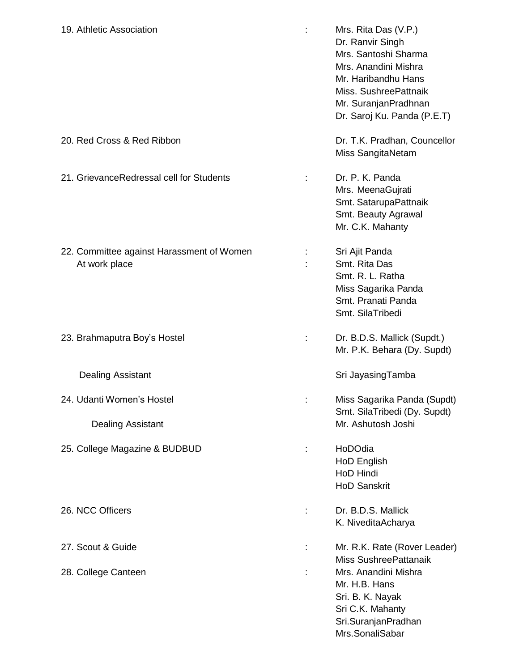| 19. Athletic Association                                   |   | Mrs. Rita Das (V.P.)<br>Dr. Ranvir Singh<br>Mrs. Santoshi Sharma<br>Mrs. Anandini Mishra<br>Mr. Haribandhu Hans<br>Miss. SushreePattnaik<br>Mr. SuranjanPradhnan<br>Dr. Saroj Ku. Panda (P.E.T) |
|------------------------------------------------------------|---|-------------------------------------------------------------------------------------------------------------------------------------------------------------------------------------------------|
| 20. Red Cross & Red Ribbon                                 |   | Dr. T.K. Pradhan, Councellor<br>Miss SangitaNetam                                                                                                                                               |
| 21. GrievanceRedressal cell for Students                   |   | Dr. P. K. Panda<br>Mrs. MeenaGujrati<br>Smt. SatarupaPattnaik<br>Smt. Beauty Agrawal<br>Mr. C.K. Mahanty                                                                                        |
| 22. Committee against Harassment of Women<br>At work place | ÷ | Sri Ajit Panda<br>Smt. Rita Das<br>Smt. R. L. Ratha<br>Miss Sagarika Panda<br>Smt. Pranati Panda<br>Smt. SilaTribedi                                                                            |
| 23. Brahmaputra Boy's Hostel                               | ÷ | Dr. B.D.S. Mallick (Supdt.)<br>Mr. P.K. Behara (Dy. Supdt)                                                                                                                                      |
| <b>Dealing Assistant</b>                                   |   | Sri JayasingTamba                                                                                                                                                                               |
| 24. Udanti Women's Hostel<br><b>Dealing Assistant</b>      |   | Miss Sagarika Panda (Supdt)<br>Smt. SilaTribedi (Dy. Supdt)<br>Mr. Ashutosh Joshi                                                                                                               |
| 25. College Magazine & BUDBUD                              |   | HoDOdia<br>HoD English<br>HoD Hindi<br><b>HoD Sanskrit</b>                                                                                                                                      |
| 26. NCC Officers                                           |   | Dr. B.D.S. Mallick<br>K. NiveditaAcharya                                                                                                                                                        |
| 27. Scout & Guide                                          | ÷ | Mr. R.K. Rate (Rover Leader)<br>Miss SushreePattanaik                                                                                                                                           |
| 28. College Canteen                                        |   | Mrs. Anandini Mishra<br>Mr. H.B. Hans<br>Sri. B. K. Nayak<br>Sri C.K. Mahanty<br>Sri.SuranjanPradhan<br>Mrs.SonaliSabar                                                                         |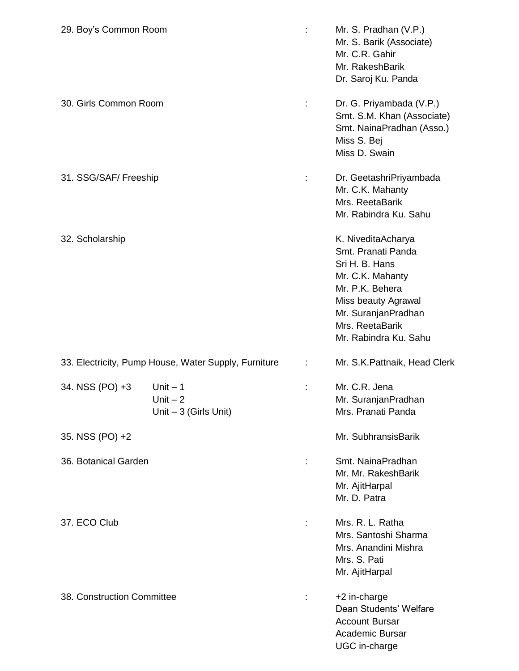| 29. Boy's Common Room      |                                                      |    | Mr. S. Pradhan (V.P.)<br>Mr. S. Barik (Associate)<br>Mr. C.R. Gahir<br>Mr. RakeshBarik<br>Dr. Saroj Ku. Panda                                                                               |
|----------------------------|------------------------------------------------------|----|---------------------------------------------------------------------------------------------------------------------------------------------------------------------------------------------|
| 30. Girls Common Room      |                                                      |    | Dr. G. Priyambada (V.P.)<br>Smt. S.M. Khan (Associate)<br>Smt. NainaPradhan (Asso.)<br>Miss S. Bej<br>Miss D. Swain                                                                         |
| 31. SSG/SAF/ Freeship      |                                                      |    | Dr. GeetashriPriyambada<br>Mr. C.K. Mahanty<br>Mrs. ReetaBarik<br>Mr. Rabindra Ku. Sahu                                                                                                     |
| 32. Scholarship            |                                                      |    | K. NiveditaAcharya<br>Smt. Pranati Panda<br>Sri H. B. Hans<br>Mr. C.K. Mahanty<br>Mr. P.K. Behera<br>Miss beauty Agrawal<br>Mr. SuranjanPradhan<br>Mrs. ReetaBarik<br>Mr. Rabindra Ku. Sahu |
|                            | 33. Electricity, Pump House, Water Supply, Furniture |    | Mr. S.K. Pattnaik, Head Clerk                                                                                                                                                               |
| 34. NSS (PO) +3            | Unit $-1$<br>Unit $-2$<br>Unit $-3$ (Girls Unit)     |    | Mr. C.R. Jena<br>Mr. SuranjanPradhan<br>Mrs. Pranati Panda                                                                                                                                  |
| 35. NSS (PO) +2            |                                                      |    | Mr. SubhransisBarik                                                                                                                                                                         |
| 36. Botanical Garden       |                                                      | ÷  | Smt. NainaPradhan<br>Mr. Mr. RakeshBarik<br>Mr. AjitHarpal<br>Mr. D. Patra                                                                                                                  |
| 37. ECO Club               |                                                      |    | Mrs. R. L. Ratha<br>Mrs. Santoshi Sharma<br>Mrs. Anandini Mishra<br>Mrs. S. Pati<br>Mr. AjitHarpal                                                                                          |
| 38. Construction Committee |                                                      | t, | +2 in-charge<br>Dean Students' Welfare<br><b>Account Bursar</b><br><b>Academic Bursar</b><br>UGC in-charge                                                                                  |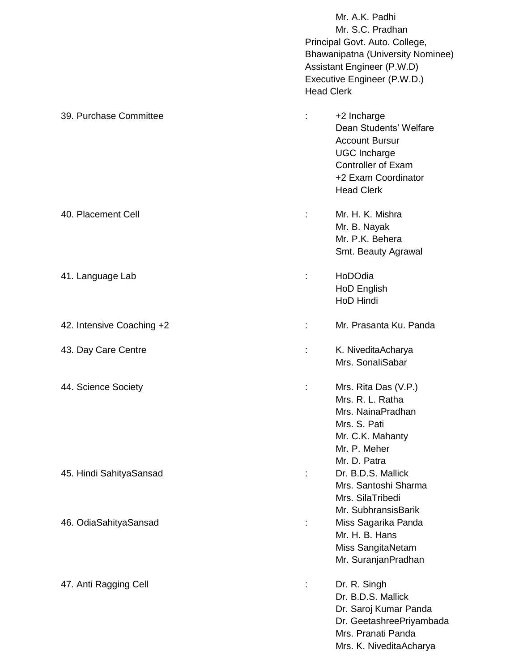|                           | Mr. A.K. Padhi<br>Mr. S.C. Pradhan<br>Principal Govt. Auto. College,<br>Bhawanipatna (University Nominee)<br>Assistant Engineer (P.W.D)<br>Executive Engineer (P.W.D.)<br><b>Head Clerk</b> |
|---------------------------|---------------------------------------------------------------------------------------------------------------------------------------------------------------------------------------------|
| 39. Purchase Committee    | +2 Incharge<br>Dean Students' Welfare<br><b>Account Bursur</b><br><b>UGC Incharge</b><br><b>Controller of Exam</b><br>+2 Exam Coordinator<br><b>Head Clerk</b>                              |
| 40. Placement Cell        | Mr. H. K. Mishra<br>Mr. B. Nayak<br>Mr. P.K. Behera<br>Smt. Beauty Agrawal                                                                                                                  |
| 41. Language Lab          | HoDOdia<br>÷<br>HoD English<br>HoD Hindi                                                                                                                                                    |
| 42. Intensive Coaching +2 | Mr. Prasanta Ku. Panda<br>t                                                                                                                                                                 |
| 43. Day Care Centre       | K. NiveditaAcharya<br>Mrs. SonaliSabar                                                                                                                                                      |
| 44. Science Society       | Mrs. Rita Das (V.P.)<br>Mrs. R. L. Ratha<br>Mrs. NainaPradhan<br>Mrs. S. Pati<br>Mr. C.K. Mahanty<br>Mr. P. Meher<br>Mr. D. Patra                                                           |
| 45. Hindi SahityaSansad   | Dr. B.D.S. Mallick<br>Mrs. Santoshi Sharma<br>Mrs. SilaTribedi<br>Mr. SubhransisBarik                                                                                                       |
| 46. OdiaSahityaSansad     | Miss Sagarika Panda<br>Mr. H. B. Hans<br>Miss SangitaNetam<br>Mr. SuranjanPradhan                                                                                                           |
| 47. Anti Ragging Cell     | Dr. R. Singh<br>Dr. B.D.S. Mallick<br>Dr. Saroj Kumar Panda<br>Dr. GeetashreePriyambada<br>Mrs. Pranati Panda<br>Mrs. K. NiveditaAcharya                                                    |